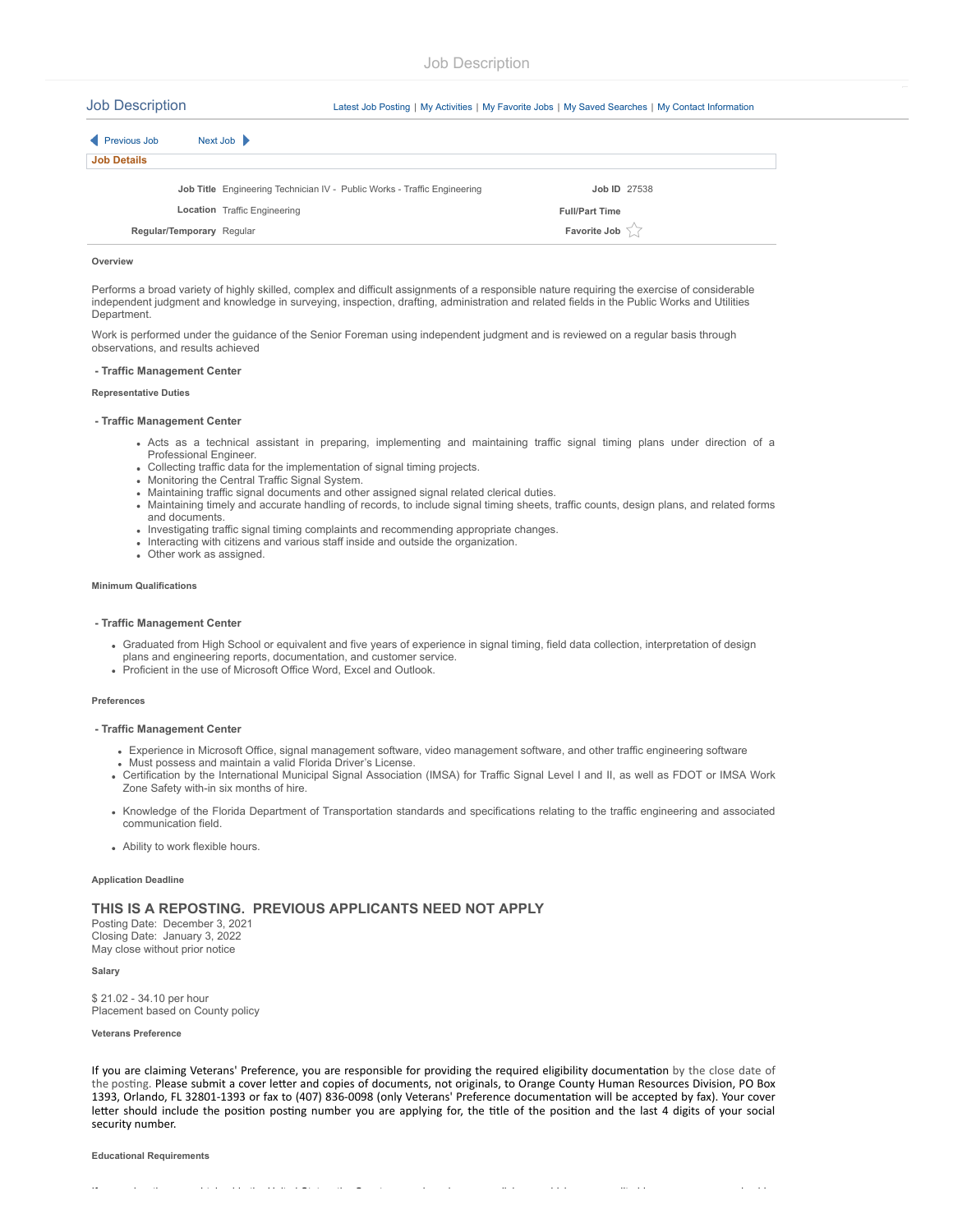Job Description [Latest Job Posting](javascript:submitAction_win0(document.win0,) <sup>|</sup> [My Activities](javascript:submitAction_win0(document.win0,) <sup>|</sup> [My Favorite Jobs](javascript:submitAction_win0(document.win0,) <sup>|</sup> [My Saved Searches](javascript:submitAction_win0(document.win0,) <sup>|</sup> [My Contact Information](javascript:submitAction_win0(document.win0,)

| Previous Job       | Next Job $\blacktriangleright$                                           |                       |  |
|--------------------|--------------------------------------------------------------------------|-----------------------|--|
| <b>Job Details</b> |                                                                          |                       |  |
|                    | Job Title Engineering Technician IV - Public Works - Traffic Engineering | <b>Job ID 27538</b>   |  |
|                    | <b>Location</b> Traffic Engineering                                      | <b>Full/Part Time</b> |  |
|                    | Regular/Temporary Regular                                                | Favorite Job          |  |

#### **Overview**

Performs a broad variety of highly skilled, complex and difficult assignments of a responsible nature requiring the exercise of considerable independent judgment and knowledge in surveying, inspection, drafting, administration and related fields in the Public Works and Utilities Department.

Work is performed under the guidance of the Senior Foreman using independent judgment and is reviewed on a regular basis through observations, and results achieved

# **- Traffic Management Center**

# **Representative Duties**

# **- Traffic Management Center**

- Acts as a technical assistant in preparing, implementing and maintaining traffic signal timing plans under direction of a Professional Engineer.
- Collecting traffic data for the implementation of signal timing projects.
- Monitoring the Central Traffic Signal System.
- Maintaining traffic signal documents and other assigned signal related clerical duties. Maintaining timely and accurate handling of records, to include signal timing sheets, traffic counts, design plans, and related forms
- and documents.
- Investigating traffic signal timing complaints and recommending appropriate changes.
- Interacting with citizens and various staff inside and outside the organization.
- Other work as assigned.

## **Minimum Qualifications**

# **- Traffic Management Center**

- Graduated from High School or equivalent and five years of experience in signal timing, field data collection, interpretation of design plans and engineering reports, documentation, and customer service.
- Proficient in the use of Microsoft Office Word, Excel and Outlook.

### **Preferences**

# **- Traffic Management Center**

- Experience in Microsoft Office, signal management software, video management software, and other traffic engineering software
- Must possess and maintain a valid Florida Driver's License.
- Certification by the International Municipal Signal Association (IMSA) for Traffic Signal Level I and II, as well as FDOT or IMSA Work Zone Safety with-in six months of hire.
- Knowledge of the Florida Department of Transportation standards and specifications relating to the traffic engineering and associated communication field.
- Ability to work flexible hours.

# **Application Deadline**

# **THIS IS A REPOSTING. PREVIOUS APPLICANTS NEED NOT APPLY**

Posting Date: December 3, 2021 Closing Date: January 3, 2022 May close without prior notice

**Salary**

\$ 21.02 - 34.10 per hour Placement based on County policy

# **Veterans Preference**

If you are claiming Veterans' Preference, you are responsible for providing the required eligibility documentation by the close date of the posting. Please submit a cover letter and copies of documents, not originals, to Orange County Human Resources Division, PO Box 1393, Orlando, FL 32801-1393 or fax to (407) 836-0098 (only Veterans' Preference documentation will be accepted by fax). Your cover letter should include the position posting number you are applying for, the title of the position and the last 4 digits of your social security number.

If die tit bestelling in die terminen die Staatse die termine van die Staatse bestelling van die Staatse beste

#### **Educational Requirements**